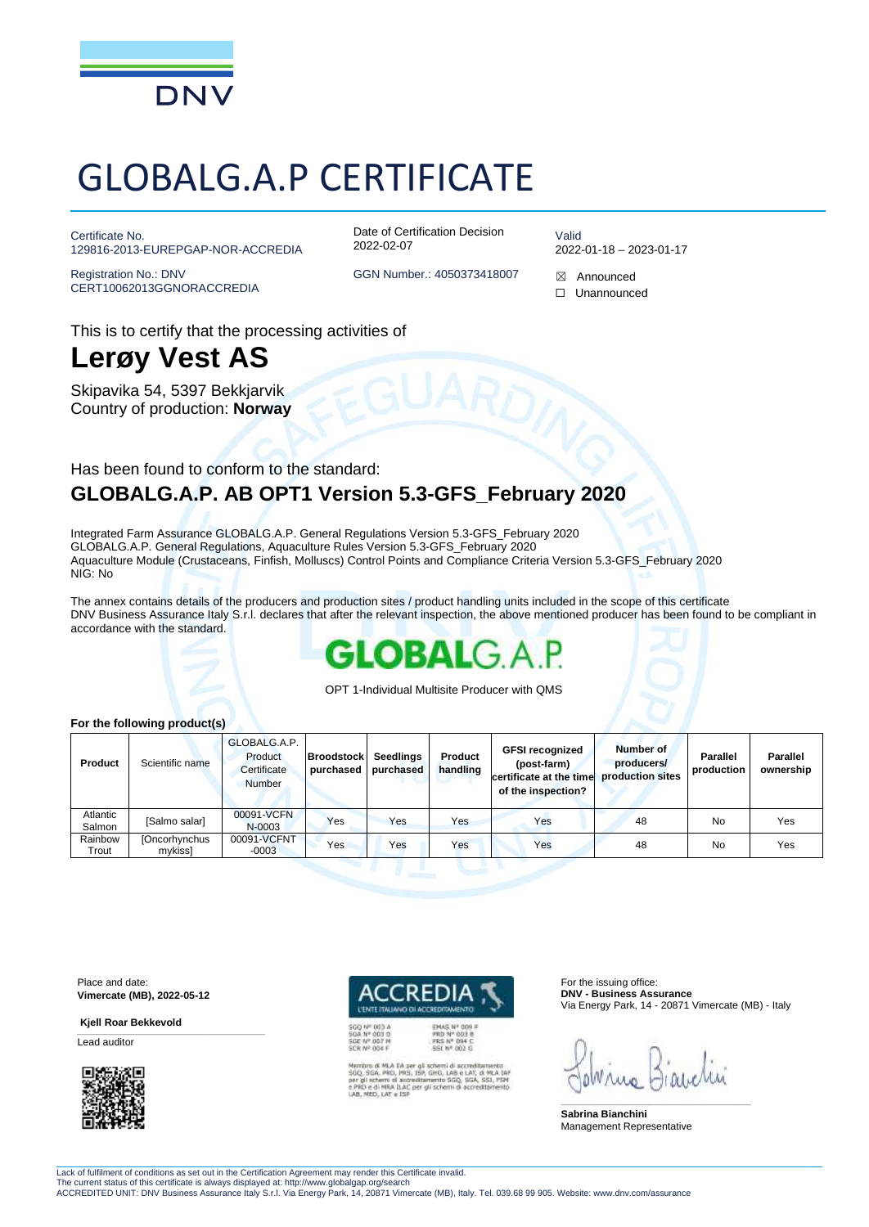

# GLOBALG.A.P CERTIFICATE

Certificate No. 129816-2013-EUREPGAP-NOR-ACCREDIA

Registration No.: DNV CERT10062013GGNORACCREDIA Date of Certification Decision 2022-02-07

Valid 2022-01-18 – 2023-01-17

GGN Number.: 4050373418007  $\boxtimes$  Announced

- 
- ☐ Unannounced

This is to certify that the processing activities of

### **Lerøy Vest AS**

Skipavika 54, 5397 Bekkjarvik Country of production: **Norway**

### Has been found to conform to the standard: **GLOBALG.A.P. AB OPT1 Version 5.3-GFS\_February 2020**

Integrated Farm Assurance GLOBALG.A.P. General Regulations Version 5.3-GFS\_February 2020 GLOBALG.A.P. General Regulations, Aquaculture Rules Version 5.3-GFS\_February 2020 Aquaculture Module (Crustaceans, Finfish, Molluscs) Control Points and Compliance Criteria Version 5.3-GFS\_February 2020 NIG: No

The annex contains details of the producers and production sites / product handling units included in the scope of this certificate DNV Business Assurance Italy S.r.l. declares that after the relevant inspection, the above mentioned producer has been found to be compliant in accordance with the standard.



OPT 1-Individual Multisite Producer with QMS

#### **For the following product(s)**

| Product            | Scientific name                 | GLOBALG.A.P.<br>Product<br>Certificate<br><b>Number</b> | <b>Broodstock</b><br>purchased | Seedlings<br>purchased | Product<br>handling | <b>GFSI recognized</b><br>(post-farm)<br>certificate at the time<br>of the inspection? | Number of<br>producers/<br>production sites | <b>Parallel</b><br>production | <b>Parallel</b><br>ownership |
|--------------------|---------------------------------|---------------------------------------------------------|--------------------------------|------------------------|---------------------|----------------------------------------------------------------------------------------|---------------------------------------------|-------------------------------|------------------------------|
| Atlantic<br>Salmon | [Salmo salar]                   | 00091-VCFN<br>N-0003                                    | Yes                            | Yes                    | Yes                 | Yes                                                                                    | 48                                          | No                            | Yes                          |
| Rainbow<br>Trout   | <b>[Oncorhynchus</b><br>mvkissl | 00091-VCFNT<br>$-0003$                                  | Yes                            | Yes                    | Yes                 | Yes                                                                                    | 48                                          | No                            | Yes                          |

Place and date: **Vimercate (MB), 2022-05-12**

\_\_\_\_\_\_\_\_\_\_\_\_\_\_\_\_\_\_\_\_\_\_\_\_\_\_\_\_\_\_\_\_\_\_\_\_\_\_\_\_\_\_\_\_\_\_\_\_\_\_\_\_\_\_\_\_\_\_\_\_\_\_\_\_\_\_\_\_\_\_\_\_\_\_\_\_\_\_

**Kjell Roar Bekkevold** 

Lead auditor



Membro di MLA EA per gli schemi di accreditamento<br>500, 50A, PRO, PRS, ISB, GHS, LAB è LAY, di MLA Isk<br>per gli schemi di accreditamento SGQ, SGA, SSL, PSN<br>e PRO e di MRA ILAC per gli schemi di accreditamento<br>LAB, MEO, LAT e

PRS Nº 094 C

For the issuing office: **DNV - Business Assurance** Via Energy Park, 14 - 20871 Vimercate (MB) - Italy

\_\_\_\_\_\_\_\_\_\_\_\_\_\_\_\_\_\_\_\_\_\_\_\_\_\_\_\_\_\_\_\_\_\_\_\_\_\_\_\_\_\_\_\_\_\_\_\_\_\_\_\_\_\_\_\_\_\_\_\_\_\_\_\_\_\_\_\_\_\_\_\_\_\_\_\_\_\_

**Sabrina Bianchini** Management Representative

Lack of fulfilment of conditions as set out in the Certification Agreement may render this Certificate invalid. The current status of this certificate is always displayed at: http://www.globalgap.org/search

ACCREDITED UNIT: DNV Business Assurance Italy S.r.l. Via Energy Park, 14, 20871 Vimercate (MB), Italy. Tel. 039.68 99 905. Website: www.dnv.com/assurance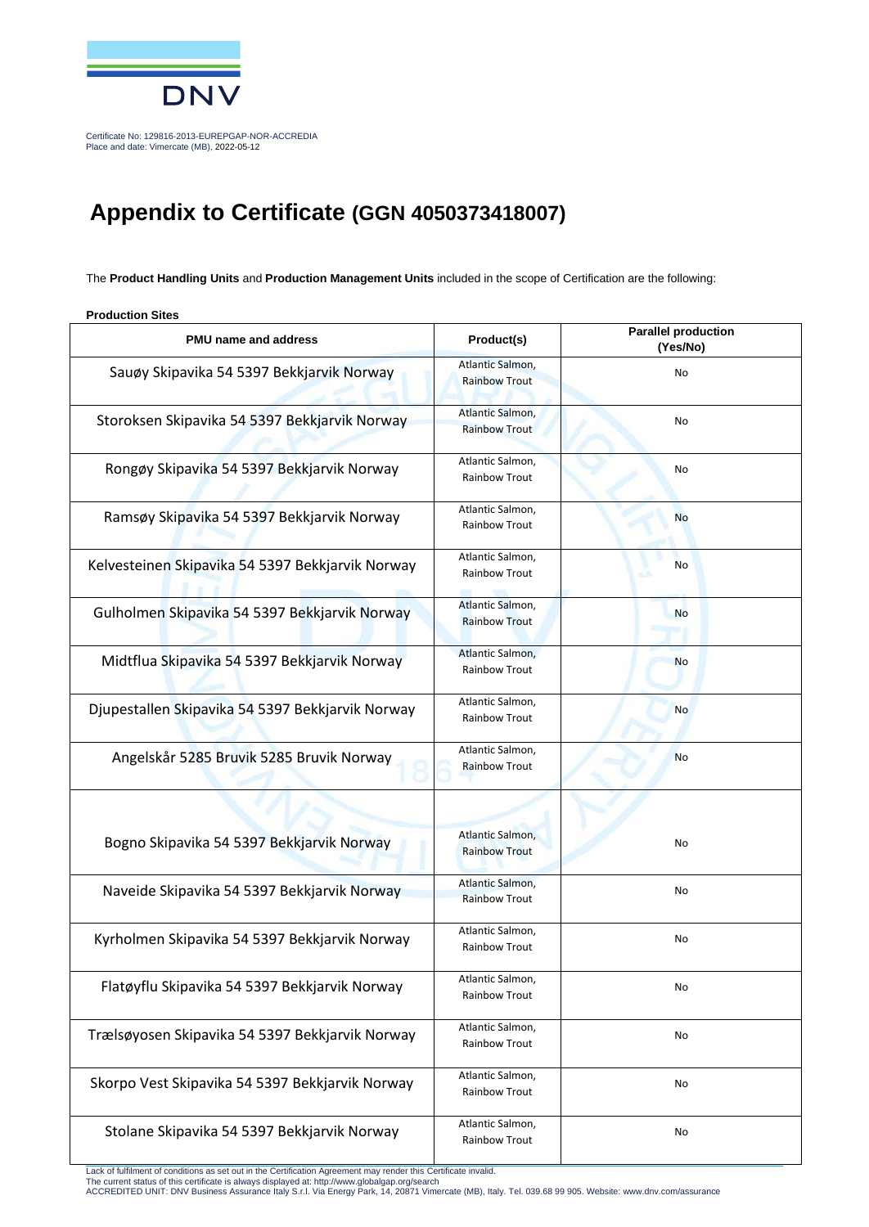

Certificate No: 129816-2013-EUREPGAP-NOR-ACCREDIA Place and date: Vimercate (MB), 2022-05-12

### **Appendix to Certificate (GGN 4050373418007)**

The **Product Handling Units** and **Production Management Units** included in the scope of Certification are the following:

**Production Sites** 

| <b>PMU</b> name and address                      | Product(s)                               | <b>Parallel production</b><br>(Yes/No) |  |
|--------------------------------------------------|------------------------------------------|----------------------------------------|--|
| Sauøy Skipavika 54 5397 Bekkjarvik Norway        | Atlantic Salmon,<br><b>Rainbow Trout</b> | No                                     |  |
| Storoksen Skipavika 54 5397 Bekkjarvik Norway    | Atlantic Salmon,<br><b>Rainbow Trout</b> | No                                     |  |
| Rongøy Skipavika 54 5397 Bekkjarvik Norway       | Atlantic Salmon,<br><b>Rainbow Trout</b> | No                                     |  |
| Ramsøy Skipavika 54 5397 Bekkjarvik Norway       | Atlantic Salmon,<br>Rainbow Trout        | <b>No</b>                              |  |
| Kelvesteinen Skipavika 54 5397 Bekkjarvik Norway | Atlantic Salmon,<br>Rainbow Trout        | No                                     |  |
| Gulholmen Skipavika 54 5397 Bekkjarvik Norway    | Atlantic Salmon,<br><b>Rainbow Trout</b> | No                                     |  |
| Midtflua Skipavika 54 5397 Bekkjarvik Norway     | Atlantic Salmon,<br><b>Rainbow Trout</b> | <b>No</b>                              |  |
| Djupestallen Skipavika 54 5397 Bekkjarvik Norway | Atlantic Salmon,<br>Rainbow Trout        | <b>No</b>                              |  |
| Angelskår 5285 Bruvik 5285 Bruvik Norway         | Atlantic Salmon,<br><b>Rainbow Trout</b> | No                                     |  |
|                                                  |                                          |                                        |  |
| Bogno Skipavika 54 5397 Bekkjarvik Norway        | Atlantic Salmon,<br><b>Rainbow Trout</b> | No                                     |  |
| Naveide Skipavika 54 5397 Bekkjarvik Norway      | Atlantic Salmon,<br><b>Rainbow Trout</b> | No                                     |  |
| Kyrholmen Skipavika 54 5397 Bekkjarvik Norway    | Atlantic Salmon,<br><b>Rainbow Trout</b> | No                                     |  |
| Flatøyflu Skipavika 54 5397 Bekkjarvik Norway    | Atlantic Salmon,<br>Rainbow Trout        | No                                     |  |
| Trælsøyosen Skipavika 54 5397 Bekkjarvik Norway  | Atlantic Salmon,<br><b>Rainbow Trout</b> | No                                     |  |
| Skorpo Vest Skipavika 54 5397 Bekkjarvik Norway  | Atlantic Salmon,<br>Rainbow Trout        | No                                     |  |
| Stolane Skipavika 54 5397 Bekkjarvik Norway      | Atlantic Salmon,<br>Rainbow Trout        | No                                     |  |

Lack of fulfilment of conditions as set out in the Certification Agreement may render this Certificate invalid.<br>The current status of this certificate is always displayed at: http://www.globalgap.org/search<br>ACCREDITED UNIT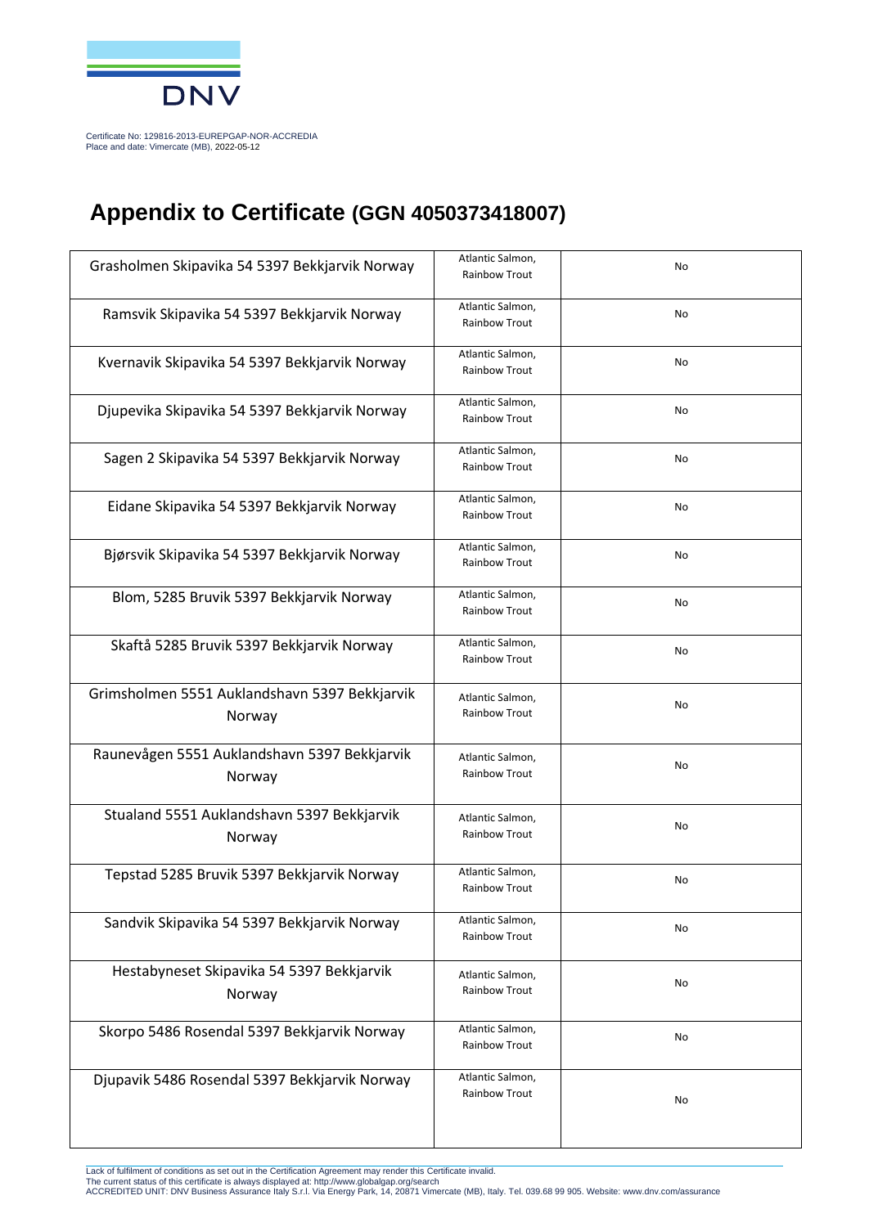

Certificate No: 129816-2013-EUREPGAP-NOR-ACCREDIA Place and date: Vimercate (MB), 2022-05-12

## **Appendix to Certificate (GGN 4050373418007)**

| Grasholmen Skipavika 54 5397 Bekkjarvik Norway          | Atlantic Salmon,<br><b>Rainbow Trout</b> | No |
|---------------------------------------------------------|------------------------------------------|----|
| Ramsvik Skipavika 54 5397 Bekkjarvik Norway             | Atlantic Salmon,<br>Rainbow Trout        | No |
| Kvernavik Skipavika 54 5397 Bekkjarvik Norway           | Atlantic Salmon,<br>Rainbow Trout        | No |
| Djupevika Skipavika 54 5397 Bekkjarvik Norway           | Atlantic Salmon,<br>Rainbow Trout        | No |
| Sagen 2 Skipavika 54 5397 Bekkjarvik Norway             | Atlantic Salmon,<br>Rainbow Trout        | No |
| Eidane Skipavika 54 5397 Bekkjarvik Norway              | Atlantic Salmon,<br>Rainbow Trout        | No |
| Bjørsvik Skipavika 54 5397 Bekkjarvik Norway            | Atlantic Salmon,<br>Rainbow Trout        | No |
| Blom, 5285 Bruvik 5397 Bekkjarvik Norway                | Atlantic Salmon,<br>Rainbow Trout        | No |
| Skaftå 5285 Bruvik 5397 Bekkjarvik Norway               | Atlantic Salmon,<br>Rainbow Trout        | No |
| Grimsholmen 5551 Auklandshavn 5397 Bekkjarvik<br>Norway | Atlantic Salmon,<br>Rainbow Trout        | No |
| Raunevågen 5551 Auklandshavn 5397 Bekkjarvik<br>Norway  | Atlantic Salmon,<br>Rainbow Trout        | No |
| Stualand 5551 Auklandshavn 5397 Bekkjarvik<br>Norway    | Atlantic Salmon,<br>Rainbow Trout        | No |
| Tepstad 5285 Bruvik 5397 Bekkjarvik Norway              | Atlantic Salmon,<br>Rainbow Trout        | No |
| Sandvik Skipavika 54 5397 Bekkjarvik Norway             | Atlantic Salmon,<br>Rainbow Trout        | No |
| Hestabyneset Skipavika 54 5397 Bekkjarvik<br>Norway     | Atlantic Salmon,<br>Rainbow Trout        | No |
| Skorpo 5486 Rosendal 5397 Bekkjarvik Norway             | Atlantic Salmon,<br>Rainbow Trout        | No |
| Djupavik 5486 Rosendal 5397 Bekkjarvik Norway           | Atlantic Salmon,<br>Rainbow Trout        | No |

Lack of fulfilment of conditions as set out in the Certification Agreement may render this Certificate invalid.<br>The current status of this certificate is always displayed at: http://www.globalgap.org/search<br>ACCREDITED UNIT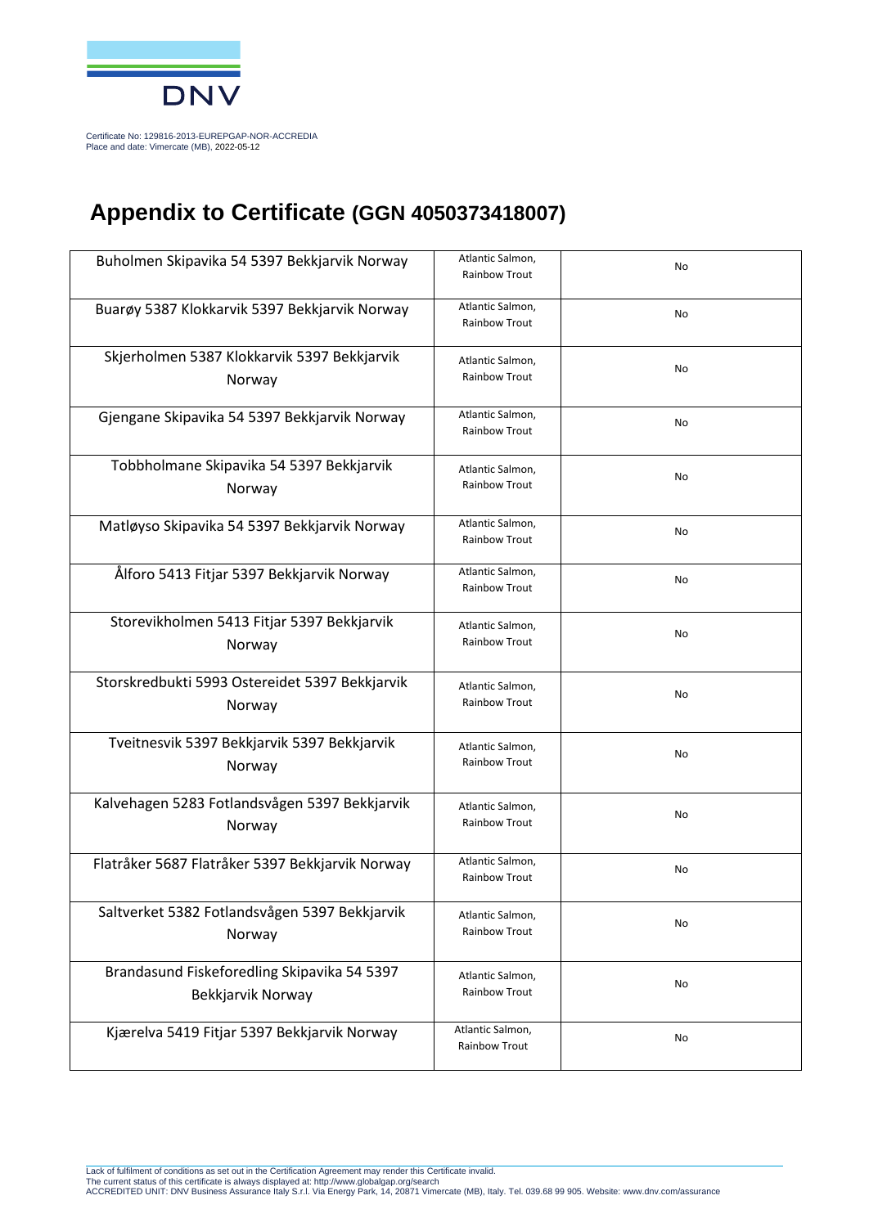

Certificate No: 129816-2013-EUREPGAP-NOR-ACCREDIA Place and date: Vimercate (MB), 2022-05-12

## **Appendix to Certificate (GGN 4050373418007)**

| Buholmen Skipavika 54 5397 Bekkjarvik Norway    | Atlantic Salmon,                  | No |
|-------------------------------------------------|-----------------------------------|----|
|                                                 | Rainbow Trout                     |    |
|                                                 |                                   |    |
| Buarøy 5387 Klokkarvik 5397 Bekkjarvik Norway   | Atlantic Salmon,                  | No |
|                                                 | Rainbow Trout                     |    |
| Skjerholmen 5387 Klokkarvik 5397 Bekkjarvik     |                                   |    |
|                                                 | Atlantic Salmon,<br>Rainbow Trout | No |
| Norway                                          |                                   |    |
| Gjengane Skipavika 54 5397 Bekkjarvik Norway    | Atlantic Salmon,                  |    |
|                                                 | Rainbow Trout                     | No |
|                                                 |                                   |    |
| Tobbholmane Skipavika 54 5397 Bekkjarvik        | Atlantic Salmon,                  |    |
| Norway                                          | Rainbow Trout                     | No |
|                                                 |                                   |    |
| Matløyso Skipavika 54 5397 Bekkjarvik Norway    | Atlantic Salmon,                  |    |
|                                                 | Rainbow Trout                     | No |
|                                                 |                                   |    |
| Ålforo 5413 Fitjar 5397 Bekkjarvik Norway       | Atlantic Salmon,                  | No |
|                                                 | Rainbow Trout                     |    |
| Storevikholmen 5413 Fitjar 5397 Bekkjarvik      | Atlantic Salmon,                  |    |
|                                                 | Rainbow Trout                     | No |
| Norway                                          |                                   |    |
| Storskredbukti 5993 Ostereidet 5397 Bekkjarvik  |                                   |    |
|                                                 | Atlantic Salmon,<br>Rainbow Trout | No |
| Norway                                          |                                   |    |
| Tveitnesvik 5397 Bekkjarvik 5397 Bekkjarvik     |                                   |    |
|                                                 | Atlantic Salmon,                  | No |
| Norway                                          | Rainbow Trout                     |    |
|                                                 |                                   |    |
| Kalvehagen 5283 Fotlandsvågen 5397 Bekkjarvik   | Atlantic Salmon,                  | No |
| Norway                                          | <b>Rainbow Trout</b>              |    |
|                                                 |                                   |    |
| Flatråker 5687 Flatråker 5397 Bekkjarvik Norway | Atlantic Salmon,<br>Rainbow Trout | No |
|                                                 |                                   |    |
| Saltverket 5382 Fotlandsvågen 5397 Bekkjarvik   | Atlantic Salmon,                  |    |
| Norway                                          | <b>Rainbow Trout</b>              | No |
|                                                 |                                   |    |
| Brandasund Fiskeforedling Skipavika 54 5397     | Atlantic Salmon,                  |    |
| Bekkjarvik Norway                               | Rainbow Trout                     | No |
|                                                 |                                   |    |
| Kjærelva 5419 Fitjar 5397 Bekkjarvik Norway     | Atlantic Salmon,                  |    |
|                                                 | <b>Rainbow Trout</b>              | No |
|                                                 |                                   |    |